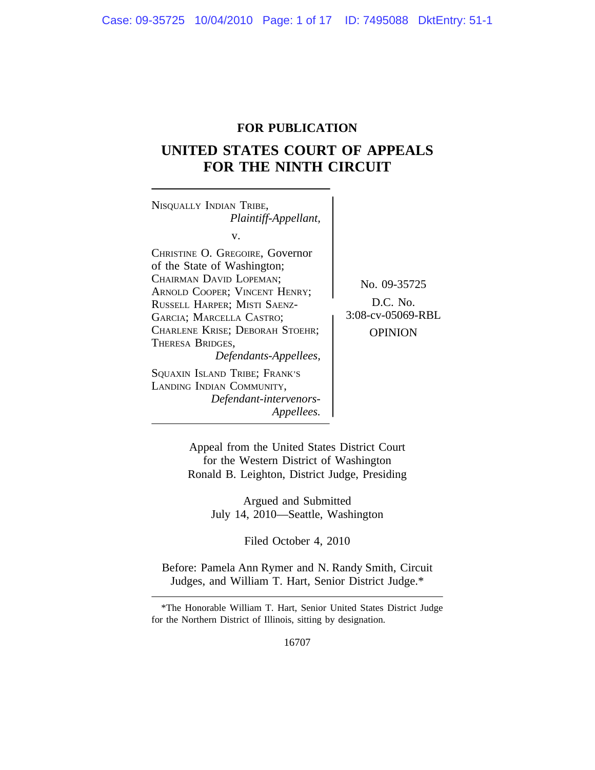# **FOR PUBLICATION**

# **UNITED STATES COURT OF APPEALS FOR THE NINTH CIRCUIT**

<sup>N</sup>ISQUALLY INDIAN TRIBE, *Plaintiff-Appellant,* v. CHRISTINE O. GREGOIRE, Governor of the State of Washington; CHAIRMAN DAVID LOPEMAN;<br>
ARNOLD COOPER; VINCENT HENRY;<br>
RUSSELL HAPPER: MISTI SAENZ-<br>
D.C. No. RUSSELL HARPER; MISTI SAENZ-<br>
GARCIA: MARCELLA CASTRO: 3:08-cv-05069-RBL GARCIA; MARCELLA CASTRO; CHARLENE KRISE; DEBORAH STOEHR; OPINION THERESA BRIDGES, *Defendants-Appellees,* SQUAXIN ISLAND TRIBE; FRANK'S LANDING INDIAN COMMUNITY, *Defendant-intervenors-Appellees.*

Appeal from the United States District Court for the Western District of Washington Ronald B. Leighton, District Judge, Presiding

> Argued and Submitted July 14, 2010—Seattle, Washington

> > Filed October 4, 2010

Before: Pamela Ann Rymer and N. Randy Smith, Circuit Judges, and William T. Hart, Senior District Judge.\*

<sup>\*</sup>The Honorable William T. Hart, Senior United States District Judge for the Northern District of Illinois, sitting by designation.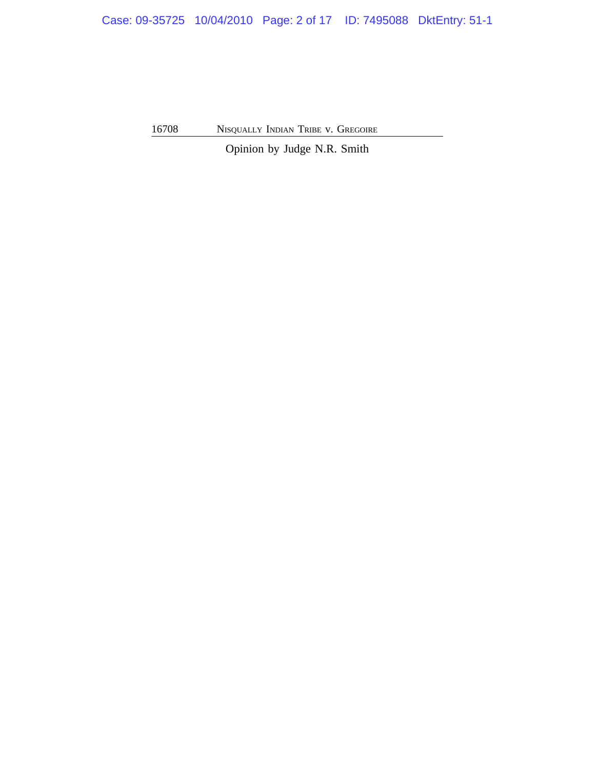Case: 09-35725 10/04/2010 Page: 2 of 17 ID: 7495088 DktEntry: 51-1

16708 NISQUALLY INDIAN TRIBE v. GREGOIRE

Opinion by Judge N.R. Smith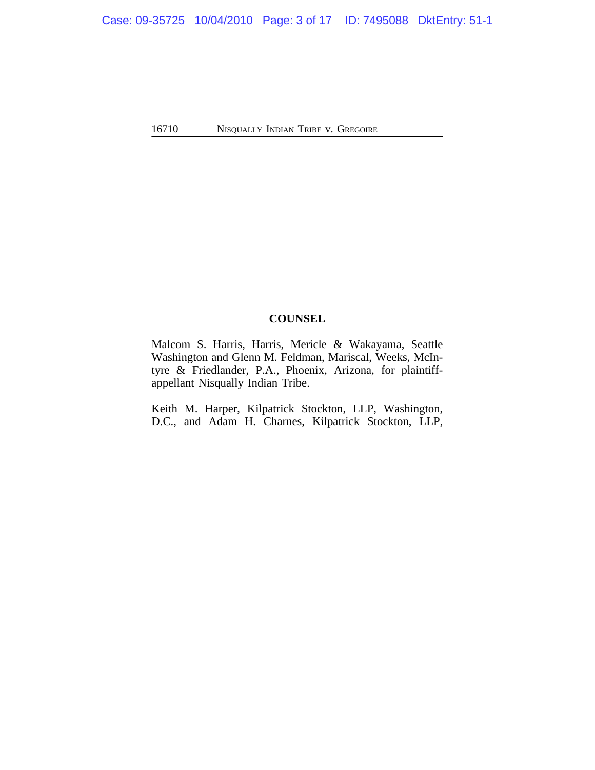# **COUNSEL**

Malcom S. Harris, Harris, Mericle & Wakayama, Seattle Washington and Glenn M. Feldman, Mariscal, Weeks, McIntyre & Friedlander, P.A., Phoenix, Arizona, for plaintiffappellant Nisqually Indian Tribe.

Keith M. Harper, Kilpatrick Stockton, LLP, Washington, D.C., and Adam H. Charnes, Kilpatrick Stockton, LLP,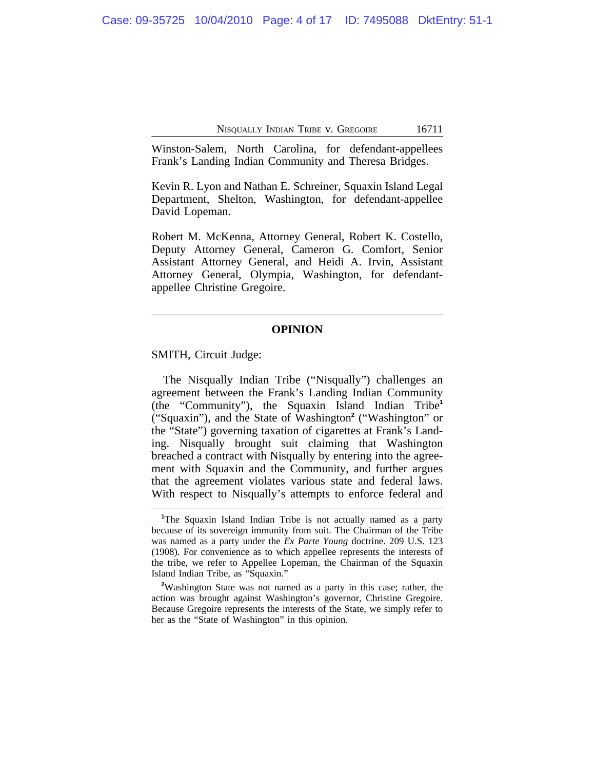Winston-Salem, North Carolina, for defendant-appellees Frank's Landing Indian Community and Theresa Bridges.

Kevin R. Lyon and Nathan E. Schreiner, Squaxin Island Legal Department, Shelton, Washington, for defendant-appellee David Lopeman.

Robert M. McKenna, Attorney General, Robert K. Costello, Deputy Attorney General, Cameron G. Comfort, Senior Assistant Attorney General, and Heidi A. Irvin, Assistant Attorney General, Olympia, Washington, for defendantappellee Christine Gregoire.

#### **OPINION**

SMITH, Circuit Judge:

The Nisqually Indian Tribe ("Nisqually") challenges an agreement between the Frank's Landing Indian Community (the "Community"), the Squaxin Island Indian Tribe**<sup>1</sup>** ("Squaxin"), and the State of Washington**<sup>2</sup>** ("Washington" or the "State") governing taxation of cigarettes at Frank's Landing. Nisqually brought suit claiming that Washington breached a contract with Nisqually by entering into the agreement with Squaxin and the Community, and further argues that the agreement violates various state and federal laws. With respect to Nisqually's attempts to enforce federal and

<sup>&</sup>lt;sup>1</sup>The Squaxin Island Indian Tribe is not actually named as a party because of its sovereign immunity from suit. The Chairman of the Tribe was named as a party under the *Ex Parte Young* doctrine. 209 U.S. 123 (1908). For convenience as to which appellee represents the interests of the tribe, we refer to Appellee Lopeman, the Chairman of the Squaxin Island Indian Tribe, as "Squaxin."

**<sup>2</sup>**Washington State was not named as a party in this case; rather, the action was brought against Washington's governor, Christine Gregoire. Because Gregoire represents the interests of the State, we simply refer to her as the "State of Washington" in this opinion.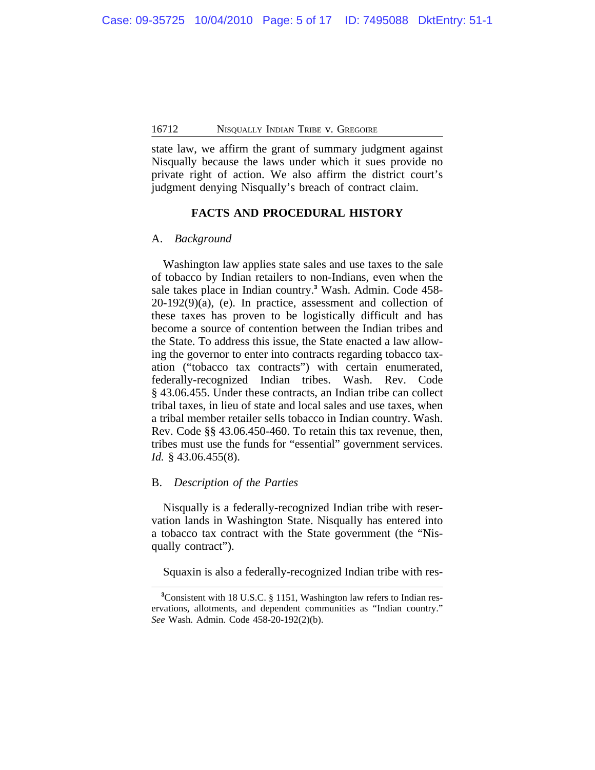state law, we affirm the grant of summary judgment against Nisqually because the laws under which it sues provide no private right of action. We also affirm the district court's judgment denying Nisqually's breach of contract claim.

#### **FACTS AND PROCEDURAL HISTORY**

### A. *Background*

Washington law applies state sales and use taxes to the sale of tobacco by Indian retailers to non-Indians, even when the sale takes place in Indian country.**<sup>3</sup>** Wash. Admin. Code 458-  $20-192(9)(a)$ , (e). In practice, assessment and collection of these taxes has proven to be logistically difficult and has become a source of contention between the Indian tribes and the State. To address this issue, the State enacted a law allowing the governor to enter into contracts regarding tobacco taxation ("tobacco tax contracts") with certain enumerated, federally-recognized Indian tribes. Wash. Rev. Code § 43.06.455. Under these contracts, an Indian tribe can collect tribal taxes, in lieu of state and local sales and use taxes, when a tribal member retailer sells tobacco in Indian country. Wash. Rev. Code §§ 43.06.450-460. To retain this tax revenue, then, tribes must use the funds for "essential" government services. *Id.* § 43.06.455(8).

### B. *Description of the Parties*

Nisqually is a federally-recognized Indian tribe with reservation lands in Washington State. Nisqually has entered into a tobacco tax contract with the State government (the "Nisqually contract").

Squaxin is also a federally-recognized Indian tribe with res-

**<sup>3</sup>**Consistent with 18 U.S.C. § 1151, Washington law refers to Indian reservations, allotments, and dependent communities as "Indian country." *See* Wash. Admin. Code 458-20-192(2)(b).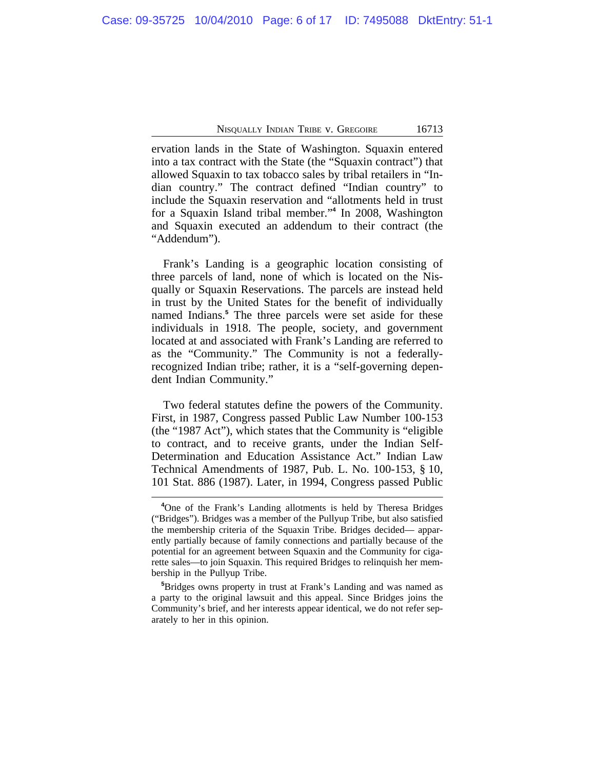ervation lands in the State of Washington. Squaxin entered into a tax contract with the State (the "Squaxin contract") that allowed Squaxin to tax tobacco sales by tribal retailers in "Indian country." The contract defined "Indian country" to include the Squaxin reservation and "allotments held in trust for a Squaxin Island tribal member." **4** In 2008, Washington and Squaxin executed an addendum to their contract (the "Addendum").

Frank's Landing is a geographic location consisting of three parcels of land, none of which is located on the Nisqually or Squaxin Reservations. The parcels are instead held in trust by the United States for the benefit of individually named Indians.**<sup>5</sup>** The three parcels were set aside for these individuals in 1918. The people, society, and government located at and associated with Frank's Landing are referred to as the "Community." The Community is not a federallyrecognized Indian tribe; rather, it is a "self-governing dependent Indian Community."

Two federal statutes define the powers of the Community. First, in 1987, Congress passed Public Law Number 100-153 (the "1987 Act"), which states that the Community is "eligible to contract, and to receive grants, under the Indian Self-Determination and Education Assistance Act." Indian Law Technical Amendments of 1987, Pub. L. No. 100-153, § 10, 101 Stat. 886 (1987). Later, in 1994, Congress passed Public

**<sup>4</sup>**One of the Frank's Landing allotments is held by Theresa Bridges ("Bridges"). Bridges was a member of the Pullyup Tribe, but also satisfied the membership criteria of the Squaxin Tribe. Bridges decided— apparently partially because of family connections and partially because of the potential for an agreement between Squaxin and the Community for cigarette sales—to join Squaxin. This required Bridges to relinquish her membership in the Pullyup Tribe.

**<sup>5</sup>**Bridges owns property in trust at Frank's Landing and was named as a party to the original lawsuit and this appeal. Since Bridges joins the Community's brief, and her interests appear identical, we do not refer separately to her in this opinion.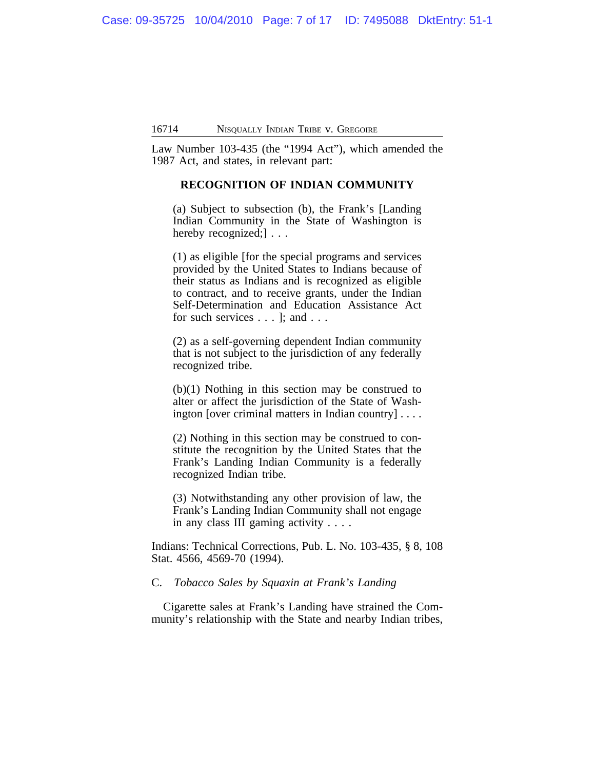Law Number 103-435 (the "1994 Act"), which amended the 1987 Act, and states, in relevant part:

### **RECOGNITION OF INDIAN COMMUNITY**

(a) Subject to subsection (b), the Frank's [Landing Indian Community in the State of Washington is hereby recognized;  $\cdots$ 

(1) as eligible [for the special programs and services provided by the United States to Indians because of their status as Indians and is recognized as eligible to contract, and to receive grants, under the Indian Self-Determination and Education Assistance Act for such services . . . ]; and . . .

(2) as a self-governing dependent Indian community that is not subject to the jurisdiction of any federally recognized tribe.

(b)(1) Nothing in this section may be construed to alter or affect the jurisdiction of the State of Washington [over criminal matters in Indian country] . . . .

(2) Nothing in this section may be construed to constitute the recognition by the United States that the Frank's Landing Indian Community is a federally recognized Indian tribe.

(3) Notwithstanding any other provision of law, the Frank's Landing Indian Community shall not engage in any class III gaming activity . . . .

Indians: Technical Corrections, Pub. L. No. 103-435, § 8, 108 Stat. 4566, 4569-70 (1994).

# C. *Tobacco Sales by Squaxin at Frank's Landing*

Cigarette sales at Frank's Landing have strained the Community's relationship with the State and nearby Indian tribes,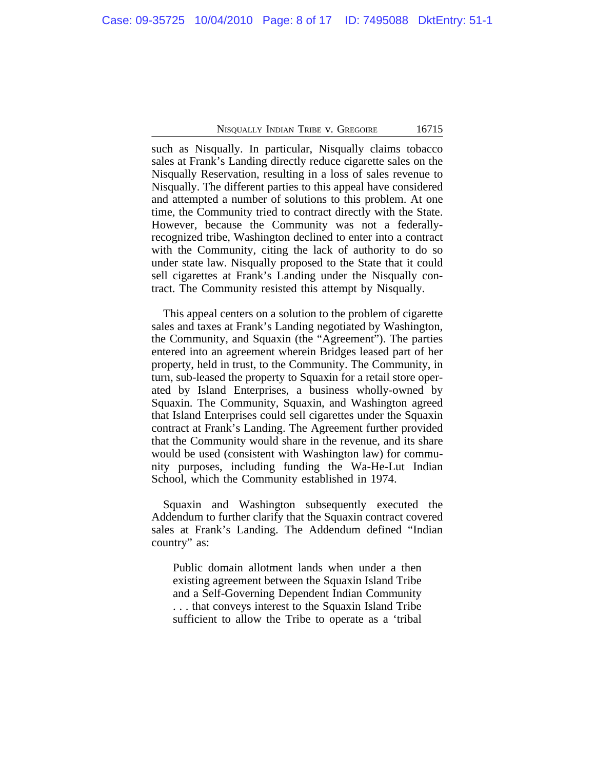such as Nisqually. In particular, Nisqually claims tobacco sales at Frank's Landing directly reduce cigarette sales on the Nisqually Reservation, resulting in a loss of sales revenue to Nisqually. The different parties to this appeal have considered and attempted a number of solutions to this problem. At one time, the Community tried to contract directly with the State. However, because the Community was not a federallyrecognized tribe, Washington declined to enter into a contract with the Community, citing the lack of authority to do so under state law. Nisqually proposed to the State that it could sell cigarettes at Frank's Landing under the Nisqually contract. The Community resisted this attempt by Nisqually.

This appeal centers on a solution to the problem of cigarette sales and taxes at Frank's Landing negotiated by Washington, the Community, and Squaxin (the "Agreement"). The parties entered into an agreement wherein Bridges leased part of her property, held in trust, to the Community. The Community, in turn, sub-leased the property to Squaxin for a retail store operated by Island Enterprises, a business wholly-owned by Squaxin. The Community, Squaxin, and Washington agreed that Island Enterprises could sell cigarettes under the Squaxin contract at Frank's Landing. The Agreement further provided that the Community would share in the revenue, and its share would be used (consistent with Washington law) for community purposes, including funding the Wa-He-Lut Indian School, which the Community established in 1974.

Squaxin and Washington subsequently executed the Addendum to further clarify that the Squaxin contract covered sales at Frank's Landing. The Addendum defined "Indian country" as:

Public domain allotment lands when under a then existing agreement between the Squaxin Island Tribe and a Self-Governing Dependent Indian Community . . . that conveys interest to the Squaxin Island Tribe sufficient to allow the Tribe to operate as a 'tribal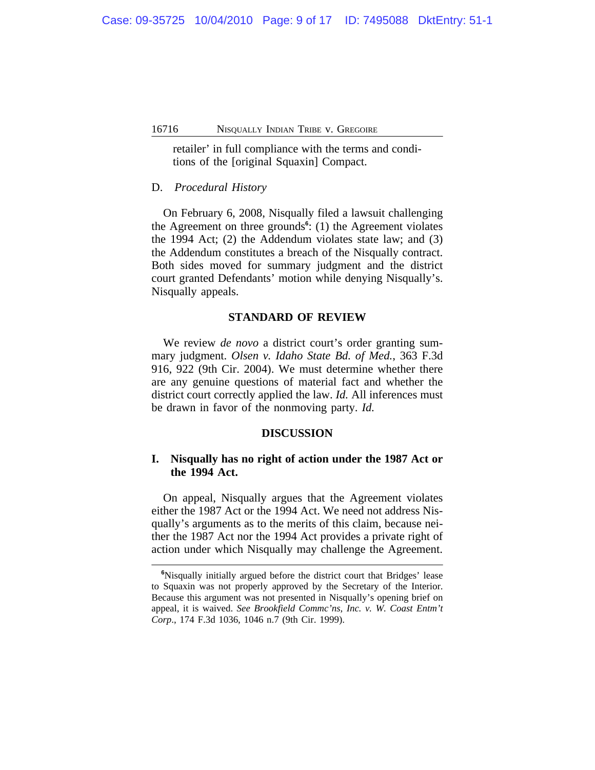retailer' in full compliance with the terms and conditions of the [original Squaxin] Compact.

# D. *Procedural History*

On February 6, 2008, Nisqually filed a lawsuit challenging the Agreement on three grounds<sup>6</sup>: (1) the Agreement violates the 1994 Act; (2) the Addendum violates state law; and (3) the Addendum constitutes a breach of the Nisqually contract. Both sides moved for summary judgment and the district court granted Defendants' motion while denying Nisqually's. Nisqually appeals.

### **STANDARD OF REVIEW**

We review *de novo* a district court's order granting summary judgment. *Olsen v. Idaho State Bd. of Med.*, 363 F.3d 916, 922 (9th Cir. 2004). We must determine whether there are any genuine questions of material fact and whether the district court correctly applied the law. *Id.* All inferences must be drawn in favor of the nonmoving party. *Id.*

### **DISCUSSION**

# **I. Nisqually has no right of action under the 1987 Act or the 1994 Act.**

On appeal, Nisqually argues that the Agreement violates either the 1987 Act or the 1994 Act. We need not address Nisqually's arguments as to the merits of this claim, because neither the 1987 Act nor the 1994 Act provides a private right of action under which Nisqually may challenge the Agreement.

**<sup>6</sup>**Nisqually initially argued before the district court that Bridges' lease to Squaxin was not properly approved by the Secretary of the Interior. Because this argument was not presented in Nisqually's opening brief on appeal, it is waived. *See Brookfield Commc'ns, Inc. v. W. Coast Entm't Corp*., 174 F.3d 1036, 1046 n.7 (9th Cir. 1999).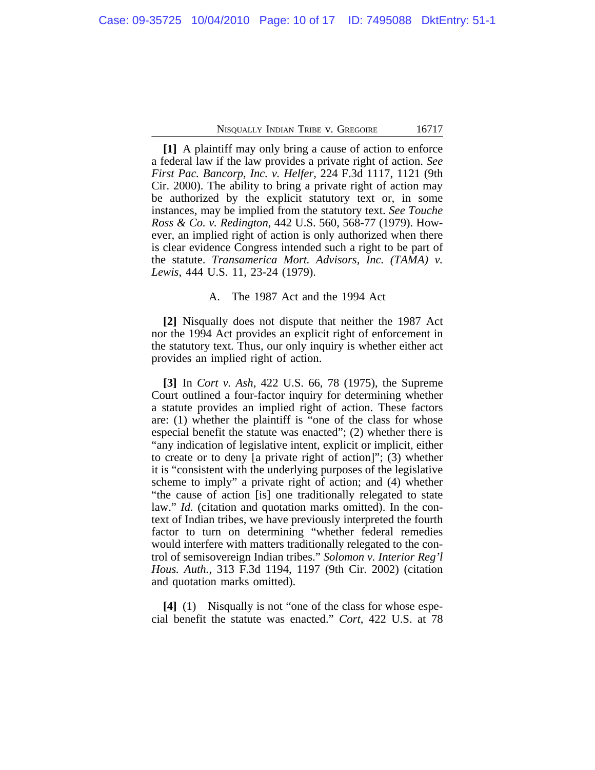**[1]** A plaintiff may only bring a cause of action to enforce a federal law if the law provides a private right of action. *See First Pac. Bancorp, Inc. v. Helfer*, 224 F.3d 1117, 1121 (9th Cir. 2000). The ability to bring a private right of action may be authorized by the explicit statutory text or, in some instances, may be implied from the statutory text. *See Touche Ross & Co. v. Redington*, 442 U.S. 560, 568-77 (1979). However, an implied right of action is only authorized when there is clear evidence Congress intended such a right to be part of the statute. *Transamerica Mort. Advisors, Inc. (TAMA) v. Lewis*, 444 U.S. 11, 23-24 (1979).

### A. The 1987 Act and the 1994 Act

**[2]** Nisqually does not dispute that neither the 1987 Act nor the 1994 Act provides an explicit right of enforcement in the statutory text. Thus, our only inquiry is whether either act provides an implied right of action.

**[3]** In *Cort v. Ash*, 422 U.S. 66, 78 (1975), the Supreme Court outlined a four-factor inquiry for determining whether a statute provides an implied right of action. These factors are: (1) whether the plaintiff is "one of the class for whose especial benefit the statute was enacted"; (2) whether there is "any indication of legislative intent, explicit or implicit, either to create or to deny [a private right of action]"; (3) whether it is "consistent with the underlying purposes of the legislative scheme to imply" a private right of action; and (4) whether "the cause of action [is] one traditionally relegated to state law." *Id.* (citation and quotation marks omitted). In the context of Indian tribes, we have previously interpreted the fourth factor to turn on determining "whether federal remedies would interfere with matters traditionally relegated to the control of semisovereign Indian tribes." *Solomon v. Interior Reg'l Hous. Auth.*, 313 F.3d 1194, 1197 (9th Cir. 2002) (citation and quotation marks omitted).

**[4]** (1) Nisqually is not "one of the class for whose especial benefit the statute was enacted." *Cort*, 422 U.S. at 78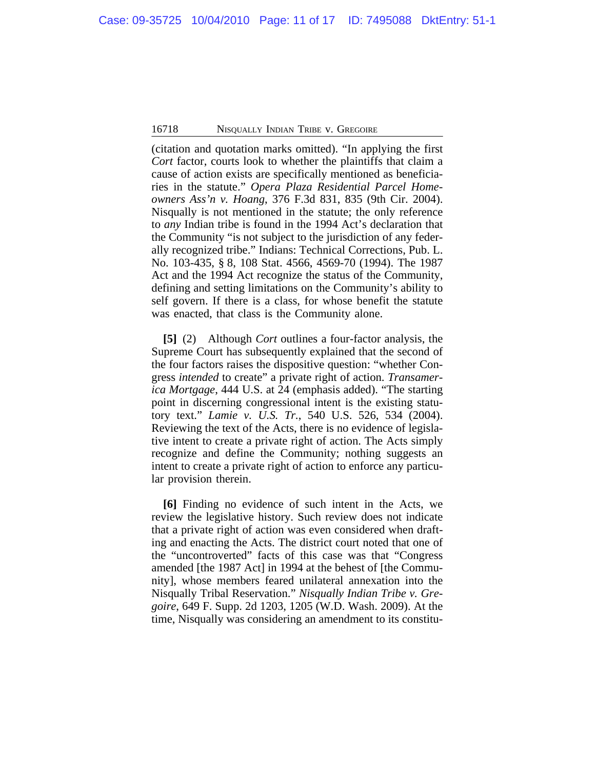(citation and quotation marks omitted). "In applying the first *Cort* factor, courts look to whether the plaintiffs that claim a cause of action exists are specifically mentioned as beneficiaries in the statute." *Opera Plaza Residential Parcel Homeowners Ass'n v. Hoang*, 376 F.3d 831, 835 (9th Cir. 2004). Nisqually is not mentioned in the statute; the only reference to *any* Indian tribe is found in the 1994 Act's declaration that the Community "is not subject to the jurisdiction of any federally recognized tribe." Indians: Technical Corrections, Pub. L. No. 103-435, § 8, 108 Stat. 4566, 4569-70 (1994). The 1987 Act and the 1994 Act recognize the status of the Community, defining and setting limitations on the Community's ability to self govern. If there is a class, for whose benefit the statute was enacted, that class is the Community alone.

**[5]** (2) Although *Cort* outlines a four-factor analysis, the Supreme Court has subsequently explained that the second of the four factors raises the dispositive question: "whether Congress *intended* to create" a private right of action. *Transamerica Mortgage*, 444 U.S. at 24 (emphasis added). "The starting point in discerning congressional intent is the existing statutory text." *Lamie v. U.S. Tr.*, 540 U.S. 526, 534 (2004). Reviewing the text of the Acts, there is no evidence of legislative intent to create a private right of action. The Acts simply recognize and define the Community; nothing suggests an intent to create a private right of action to enforce any particular provision therein.

**[6]** Finding no evidence of such intent in the Acts, we review the legislative history. Such review does not indicate that a private right of action was even considered when drafting and enacting the Acts. The district court noted that one of the "uncontroverted" facts of this case was that "Congress amended [the 1987 Act] in 1994 at the behest of [the Community], whose members feared unilateral annexation into the Nisqually Tribal Reservation." *Nisqually Indian Tribe v. Gregoire*, 649 F. Supp. 2d 1203, 1205 (W.D. Wash. 2009). At the time, Nisqually was considering an amendment to its constitu-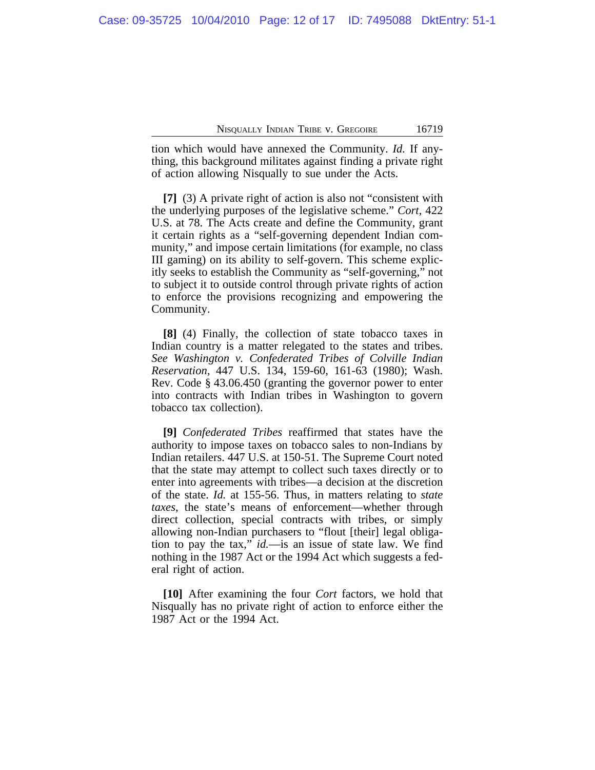tion which would have annexed the Community. *Id.* If anything, this background militates against finding a private right of action allowing Nisqually to sue under the Acts.

**[7]** (3) A private right of action is also not "consistent with the underlying purposes of the legislative scheme." *Cort*, 422 U.S. at 78. The Acts create and define the Community, grant it certain rights as a "self-governing dependent Indian community," and impose certain limitations (for example, no class III gaming) on its ability to self-govern. This scheme explicitly seeks to establish the Community as "self-governing," not to subject it to outside control through private rights of action to enforce the provisions recognizing and empowering the Community.

**[8]** (4) Finally, the collection of state tobacco taxes in Indian country is a matter relegated to the states and tribes. *See Washington v. Confederated Tribes of Colville Indian Reservation*, 447 U.S. 134, 159-60, 161-63 (1980); Wash. Rev. Code § 43.06.450 (granting the governor power to enter into contracts with Indian tribes in Washington to govern tobacco tax collection).

**[9]** *Confederated Tribes* reaffirmed that states have the authority to impose taxes on tobacco sales to non-Indians by Indian retailers. 447 U.S. at 150-51. The Supreme Court noted that the state may attempt to collect such taxes directly or to enter into agreements with tribes—a decision at the discretion of the state. *Id.* at 155-56. Thus, in matters relating to *state taxes*, the state's means of enforcement—whether through direct collection, special contracts with tribes, or simply allowing non-Indian purchasers to "flout [their] legal obligation to pay the tax," *id.*—is an issue of state law. We find nothing in the 1987 Act or the 1994 Act which suggests a federal right of action.

**[10]** After examining the four *Cort* factors, we hold that Nisqually has no private right of action to enforce either the 1987 Act or the 1994 Act.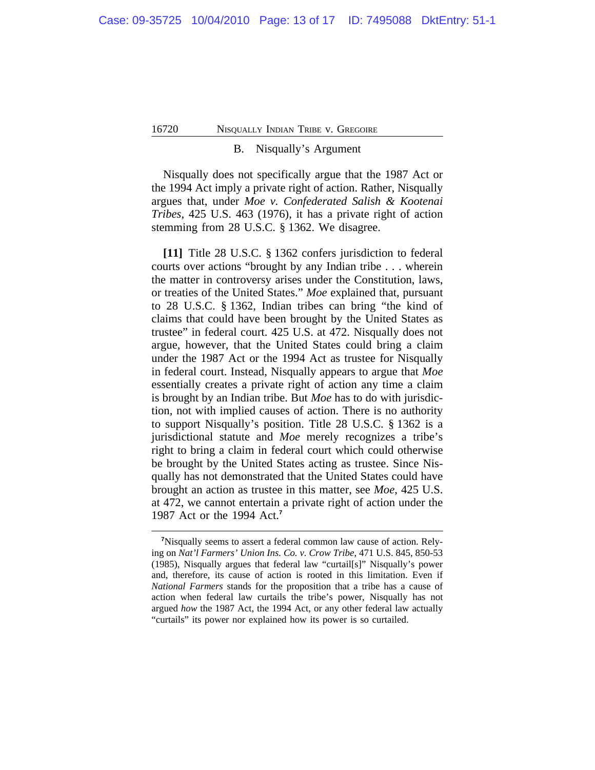### B. Nisqually's Argument

Nisqually does not specifically argue that the 1987 Act or the 1994 Act imply a private right of action. Rather, Nisqually argues that, under *Moe v. Confederated Salish & Kootenai Tribes*, 425 U.S. 463 (1976), it has a private right of action stemming from 28 U.S.C. § 1362. We disagree.

**[11]** Title 28 U.S.C. § 1362 confers jurisdiction to federal courts over actions "brought by any Indian tribe . . . wherein the matter in controversy arises under the Constitution, laws, or treaties of the United States." *Moe* explained that, pursuant to 28 U.S.C. § 1362, Indian tribes can bring "the kind of claims that could have been brought by the United States as trustee" in federal court. 425 U.S. at 472. Nisqually does not argue, however, that the United States could bring a claim under the 1987 Act or the 1994 Act as trustee for Nisqually in federal court. Instead, Nisqually appears to argue that *Moe* essentially creates a private right of action any time a claim is brought by an Indian tribe. But *Moe* has to do with jurisdiction, not with implied causes of action. There is no authority to support Nisqually's position. Title 28 U.S.C. § 1362 is a jurisdictional statute and *Moe* merely recognizes a tribe's right to bring a claim in federal court which could otherwise be brought by the United States acting as trustee. Since Nisqually has not demonstrated that the United States could have brought an action as trustee in this matter, see *Moe*, 425 U.S. at 472, we cannot entertain a private right of action under the 1987 Act or the 1994 Act.**<sup>7</sup>**

**<sup>7</sup>**Nisqually seems to assert a federal common law cause of action. Relying on *Nat'l Farmers' Union Ins. Co. v. Crow Tribe*, 471 U.S. 845, 850-53 (1985), Nisqually argues that federal law "curtail[s]" Nisqually's power and, therefore, its cause of action is rooted in this limitation. Even if *National Farmers* stands for the proposition that a tribe has a cause of action when federal law curtails the tribe's power, Nisqually has not argued *how* the 1987 Act, the 1994 Act, or any other federal law actually "curtails" its power nor explained how its power is so curtailed.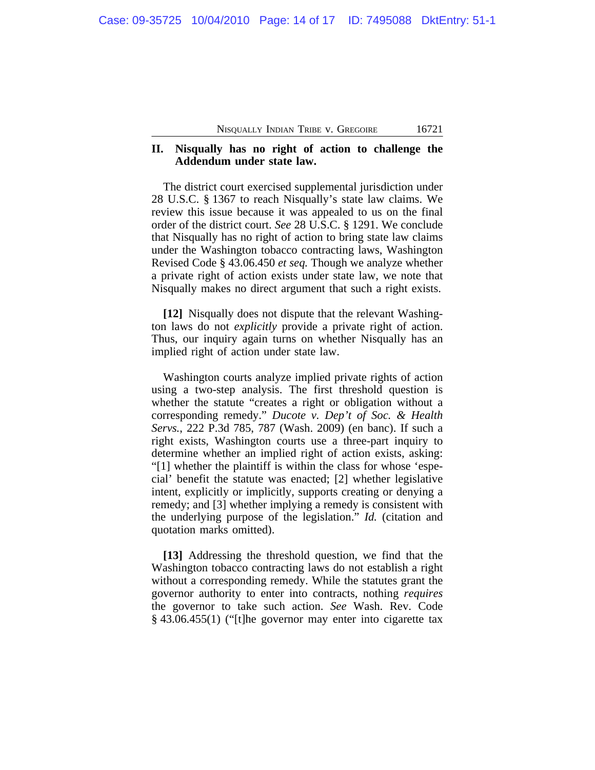# **II. Nisqually has no right of action to challenge the Addendum under state law.**

The district court exercised supplemental jurisdiction under 28 U.S.C. § 1367 to reach Nisqually's state law claims. We review this issue because it was appealed to us on the final order of the district court. *See* 28 U.S.C. § 1291. We conclude that Nisqually has no right of action to bring state law claims under the Washington tobacco contracting laws, Washington Revised Code § 43.06.450 *et seq.* Though we analyze whether a private right of action exists under state law, we note that Nisqually makes no direct argument that such a right exists.

**[12]** Nisqually does not dispute that the relevant Washington laws do not *explicitly* provide a private right of action. Thus, our inquiry again turns on whether Nisqually has an implied right of action under state law.

Washington courts analyze implied private rights of action using a two-step analysis. The first threshold question is whether the statute "creates a right or obligation without a corresponding remedy." *Ducote v. Dep't of Soc. & Health Servs.*, 222 P.3d 785, 787 (Wash. 2009) (en banc). If such a right exists, Washington courts use a three-part inquiry to determine whether an implied right of action exists, asking: "[1] whether the plaintiff is within the class for whose 'especial' benefit the statute was enacted; [2] whether legislative intent, explicitly or implicitly, supports creating or denying a remedy; and [3] whether implying a remedy is consistent with the underlying purpose of the legislation." *Id.* (citation and quotation marks omitted).

**[13]** Addressing the threshold question, we find that the Washington tobacco contracting laws do not establish a right without a corresponding remedy. While the statutes grant the governor authority to enter into contracts, nothing *requires* the governor to take such action. *See* Wash. Rev. Code § 43.06.455(1) ("[t]he governor may enter into cigarette tax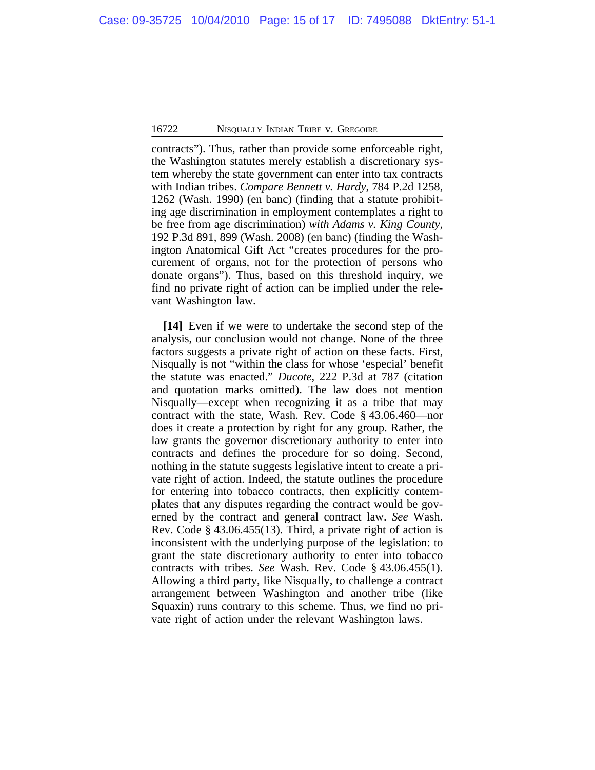contracts"). Thus, rather than provide some enforceable right, the Washington statutes merely establish a discretionary system whereby the state government can enter into tax contracts with Indian tribes. *Compare Bennett v. Hardy*, 784 P.2d 1258, 1262 (Wash. 1990) (en banc) (finding that a statute prohibiting age discrimination in employment contemplates a right to be free from age discrimination) *with Adams v. King County*, 192 P.3d 891, 899 (Wash. 2008) (en banc) (finding the Washington Anatomical Gift Act "creates procedures for the procurement of organs, not for the protection of persons who donate organs"). Thus, based on this threshold inquiry, we find no private right of action can be implied under the relevant Washington law.

**[14]** Even if we were to undertake the second step of the analysis, our conclusion would not change. None of the three factors suggests a private right of action on these facts. First, Nisqually is not "within the class for whose 'especial' benefit the statute was enacted." *Ducote*, 222 P.3d at 787 (citation and quotation marks omitted). The law does not mention Nisqually—except when recognizing it as a tribe that may contract with the state, Wash. Rev. Code § 43.06.460—nor does it create a protection by right for any group. Rather, the law grants the governor discretionary authority to enter into contracts and defines the procedure for so doing. Second, nothing in the statute suggests legislative intent to create a private right of action. Indeed, the statute outlines the procedure for entering into tobacco contracts, then explicitly contemplates that any disputes regarding the contract would be governed by the contract and general contract law. *See* Wash. Rev. Code § 43.06.455(13). Third, a private right of action is inconsistent with the underlying purpose of the legislation: to grant the state discretionary authority to enter into tobacco contracts with tribes. *See* Wash. Rev. Code § 43.06.455(1). Allowing a third party, like Nisqually, to challenge a contract arrangement between Washington and another tribe (like Squaxin) runs contrary to this scheme. Thus, we find no private right of action under the relevant Washington laws.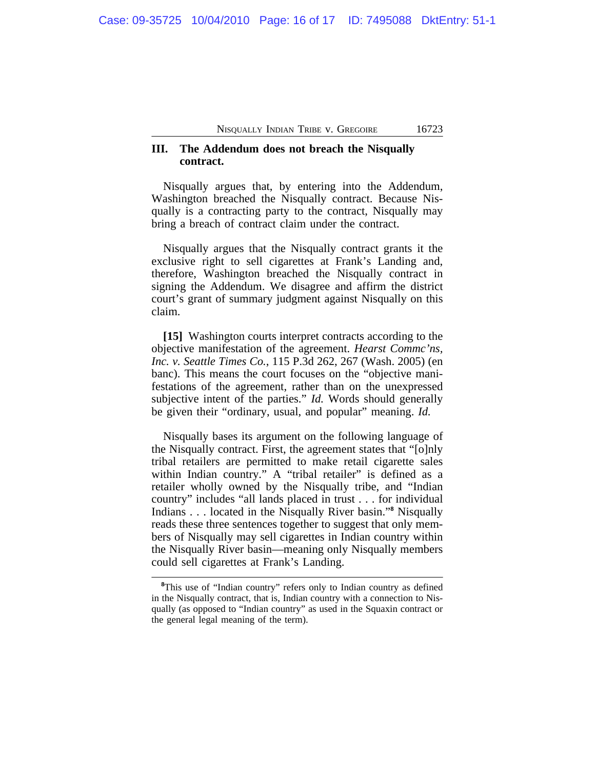# **III. The Addendum does not breach the Nisqually contract.**

Nisqually argues that, by entering into the Addendum, Washington breached the Nisqually contract. Because Nisqually is a contracting party to the contract, Nisqually may bring a breach of contract claim under the contract.

Nisqually argues that the Nisqually contract grants it the exclusive right to sell cigarettes at Frank's Landing and, therefore, Washington breached the Nisqually contract in signing the Addendum. We disagree and affirm the district court's grant of summary judgment against Nisqually on this claim.

**[15]** Washington courts interpret contracts according to the objective manifestation of the agreement. *Hearst Commc'ns, Inc. v. Seattle Times Co.*, 115 P.3d 262, 267 (Wash. 2005) (en banc). This means the court focuses on the "objective manifestations of the agreement, rather than on the unexpressed subjective intent of the parties." *Id.* Words should generally be given their "ordinary, usual, and popular" meaning. *Id.*

Nisqually bases its argument on the following language of the Nisqually contract. First, the agreement states that "[o]nly tribal retailers are permitted to make retail cigarette sales within Indian country." A "tribal retailer" is defined as a retailer wholly owned by the Nisqually tribe, and "Indian country" includes "all lands placed in trust . . . for individual Indians . . . located in the Nisqually River basin."<sup>8</sup> Nisqually reads these three sentences together to suggest that only members of Nisqually may sell cigarettes in Indian country within the Nisqually River basin—meaning only Nisqually members could sell cigarettes at Frank's Landing.

<sup>&</sup>lt;sup>8</sup>This use of "Indian country" refers only to Indian country as defined in the Nisqually contract, that is, Indian country with a connection to Nisqually (as opposed to "Indian country" as used in the Squaxin contract or the general legal meaning of the term).